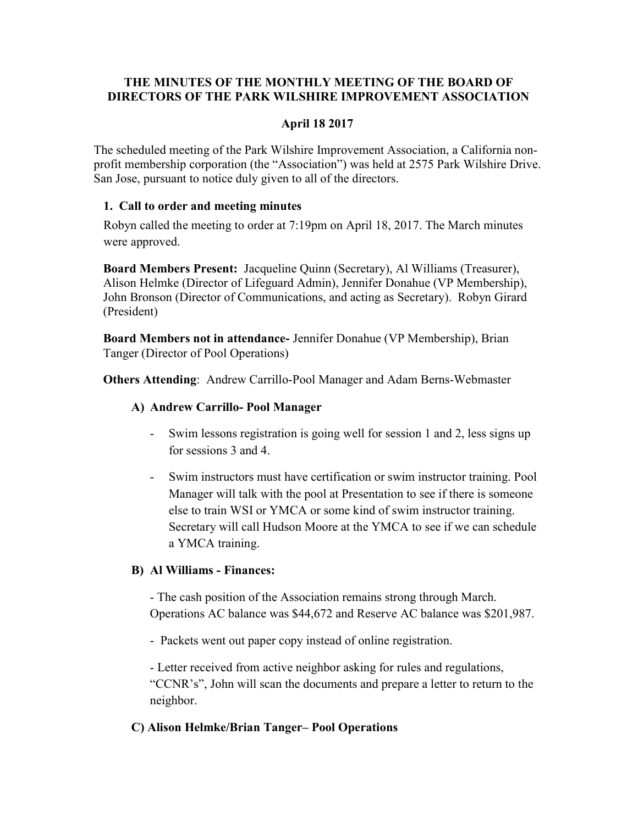# THE MINUTES OF THE MONTHLY MEETING OF THE BOARD OF DIRECTORS OF THE PARK WILSHIRE IMPROVEMENT ASSOCIATION

# April 18 2017

The scheduled meeting of the Park Wilshire Improvement Association, a California nonprofit membership corporation (the "Association") was held at 2575 Park Wilshire Drive. San Jose, pursuant to notice duly given to all of the directors.

### 1. Call to order and meeting minutes

Robyn called the meeting to order at 7:19pm on April 18, 2017. The March minutes were approved.

Board Members Present: Jacqueline Quinn (Secretary), Al Williams (Treasurer), Alison Helmke (Director of Lifeguard Admin), Jennifer Donahue (VP Membership), John Bronson (Director of Communications, and acting as Secretary). Robyn Girard (President)

Board Members not in attendance- Jennifer Donahue (VP Membership), Brian Tanger (Director of Pool Operations)

Others Attending: Andrew Carrillo-Pool Manager and Adam Berns-Webmaster

# A) Andrew Carrillo- Pool Manager

- Swim lessons registration is going well for session 1 and 2, less signs up for sessions 3 and 4.
- Swim instructors must have certification or swim instructor training. Pool Manager will talk with the pool at Presentation to see if there is someone else to train WSI or YMCA or some kind of swim instructor training. Secretary will call Hudson Moore at the YMCA to see if we can schedule a YMCA training.

# B) Al Williams - Finances:

- The cash position of the Association remains strong through March. Operations AC balance was \$44,672 and Reserve AC balance was \$201,987.

- Packets went out paper copy instead of online registration.

- Letter received from active neighbor asking for rules and regulations, "CCNR's", John will scan the documents and prepare a letter to return to the neighbor.

# C) Alison Helmke/Brian Tanger– Pool Operations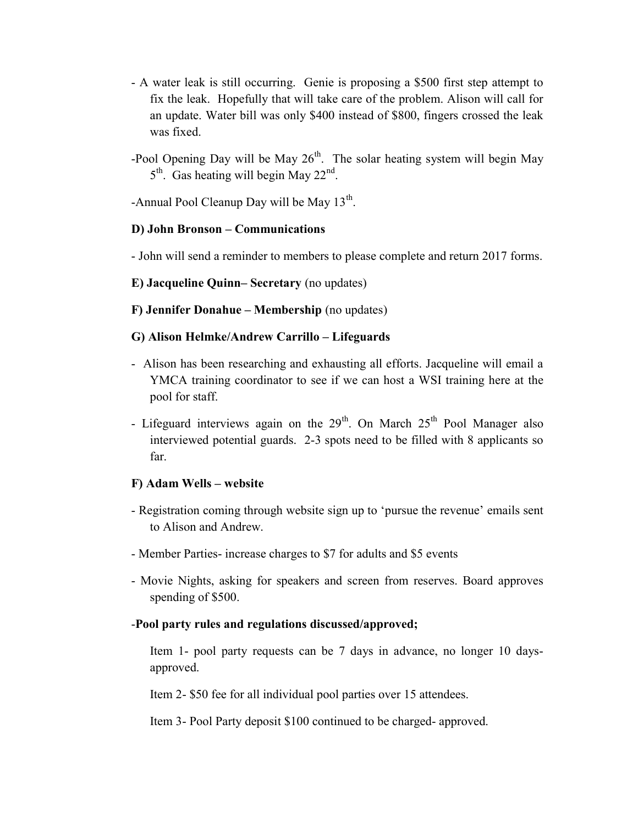- A water leak is still occurring. Genie is proposing a \$500 first step attempt to fix the leak. Hopefully that will take care of the problem. Alison will call for an update. Water bill was only \$400 instead of \$800, fingers crossed the leak was fixed.
- -Pool Opening Day will be May  $26<sup>th</sup>$ . The solar heating system will begin May  $5<sup>th</sup>$ . Gas heating will begin May 22<sup>nd</sup>.

-Annual Pool Cleanup Day will be May  $13^{th}$ .

### D) John Bronson – Communications

- John will send a reminder to members to please complete and return 2017 forms.

### E) Jacqueline Quinn– Secretary (no updates)

F) Jennifer Donahue – Membership (no updates)

### G) Alison Helmke/Andrew Carrillo – Lifeguards

- Alison has been researching and exhausting all efforts. Jacqueline will email a YMCA training coordinator to see if we can host a WSI training here at the pool for staff.
- Lifeguard interviews again on the  $29<sup>th</sup>$ . On March  $25<sup>th</sup>$  Pool Manager also interviewed potential guards. 2-3 spots need to be filled with 8 applicants so far.

#### F) Adam Wells – website

- Registration coming through website sign up to 'pursue the revenue' emails sent to Alison and Andrew.
- Member Parties- increase charges to \$7 for adults and \$5 events
- Movie Nights, asking for speakers and screen from reserves. Board approves spending of \$500.

# -Pool party rules and regulations discussed/approved;

 Item 1- pool party requests can be 7 days in advance, no longer 10 daysapproved.

Item 2- \$50 fee for all individual pool parties over 15 attendees.

Item 3- Pool Party deposit \$100 continued to be charged- approved.